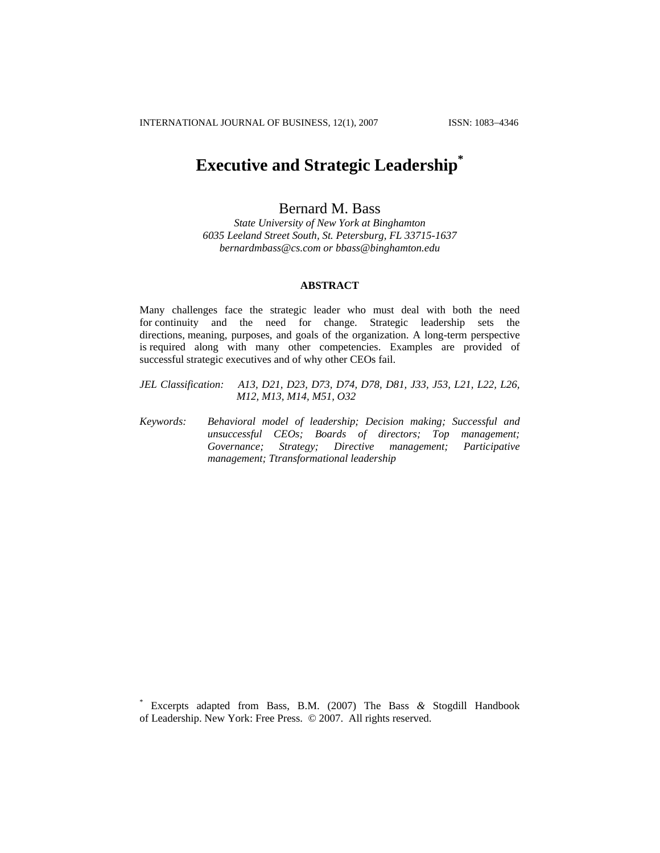INTERNATIONAL JOURNAL OF BUSINESS, 12(1), 2007 ISSN: 1083−4346

# **Executive and Strategic Leadership\***

## Bernard M. Bass

*State University of New York at Binghamton 6035 Leeland Street South, St. Petersburg, FL 33715-1637 [bernardmbass@cs.com](mailto:bernardmbass@cs.com) or [bbass@binghamton.edu](mailto:bbass@binghamton.edu)*

## **ABSTRACT**

Many challenges face the strategic leader who must deal with both the need for continuity and the need for change. Strategic leadership sets the directions, meaning, purposes, and goals of the organization. A long-term perspective is required along with many other competencies. Examples are provided of successful strategic executives and of why other CEOs fail.

- *JEL Classification: A13, D21, D23, D73, D74, D78, D81, J33, J53, L21, L22, L26, M12, M13, M14, M51, O32*
- *Keywords: Behavioral model of leadership; Decision making; Successful and unsuccessful CEOs; Boards of directors; Top management; Governance; Strategy; Directive management; Participative management; Ttransformational leadership*

<sup>\*</sup> Excerpts adapted from Bass, B.M. (2007) The Bass *&* Stogdill Handbook of Leadership. New York: Free Press. © 2007. All rights reserved.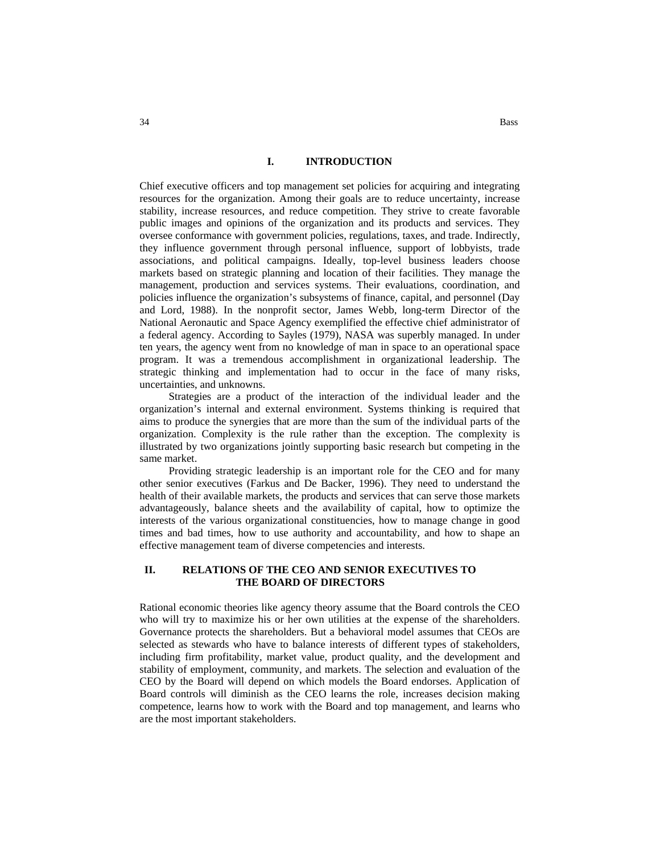#### **I. INTRODUCTION**

Chief executive officers and top management set policies for acquiring and integrating resources for the organization. Among their goals are to reduce uncertainty, increase stability, increase resources, and reduce competition. They strive to create favorable public images and opinions of the organization and its products and services. They oversee conformance with government policies, regulations, taxes, and trade. Indirectly, they influence government through personal influence, support of lobbyists, trade associations, and political campaigns. Ideally, top-level business leaders choose markets based on strategic planning and location of their facilities. They manage the management, production and services systems. Their evaluations, coordination, and policies influence the organization's subsystems of finance, capital, and personnel (Day and Lord, 1988). In the nonprofit sector, James Webb, long-term Director of the National Aeronautic and Space Agency exemplified the effective chief administrator of a federal agency. According to Sayles (1979), NASA was superbly managed. In under ten years, the agency went from no knowledge of man in space to an operational space program. It was a tremendous accomplishment in organizational leadership. The strategic thinking and implementation had to occur in the face of many risks, uncertainties, and unknowns.

Strategies are a product of the interaction of the individual leader and the organization's internal and external environment. Systems thinking is required that aims to produce the synergies that are more than the sum of the individual parts of the organization. Complexity is the rule rather than the exception. The complexity is illustrated by two organizations jointly supporting basic research but competing in the same market.

Providing strategic leadership is an important role for the CEO and for many other senior executives (Farkus and De Backer, 1996). They need to understand the health of their available markets, the products and services that can serve those markets advantageously, balance sheets and the availability of capital, how to optimize the interests of the various organizational constituencies, how to manage change in good times and bad times, how to use authority and accountability, and how to shape an effective management team of diverse competencies and interests.

## **II. RELATIONS OF THE CEO AND SENIOR EXECUTIVES TO THE BOARD OF DIRECTORS**

Rational economic theories like agency theory assume that the Board controls the CEO who will try to maximize his or her own utilities at the expense of the shareholders. Governance protects the shareholders. But a behavioral model assumes that CEOs are selected as stewards who have to balance interests of different types of stakeholders, including firm profitability, market value, product quality, and the development and stability of employment, community, and markets. The selection and evaluation of the CEO by the Board will depend on which models the Board endorses. Application of Board controls will diminish as the CEO learns the role, increases decision making competence, learns how to work with the Board and top management, and learns who are the most important stakeholders.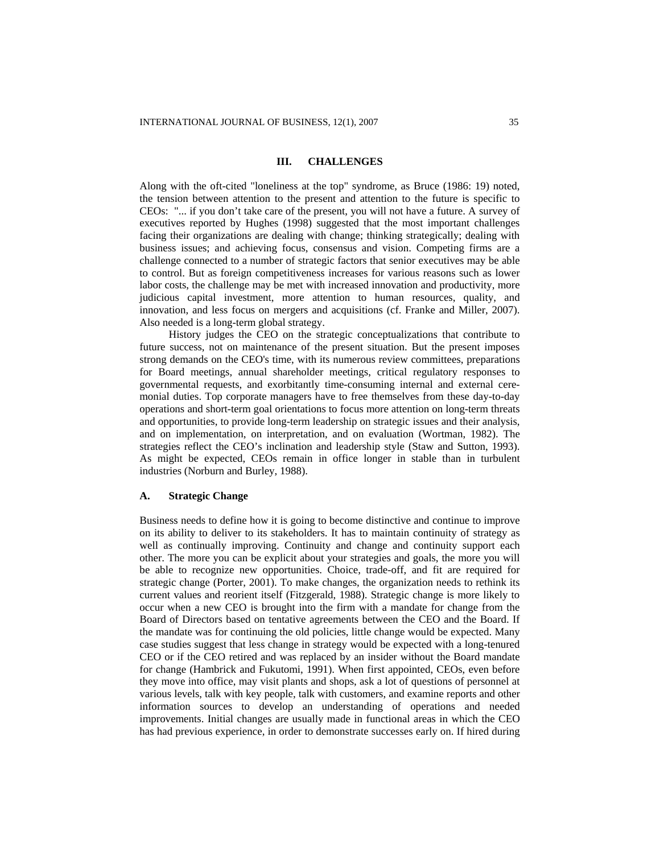## **III. CHALLENGES**

Along with the oft-cited "loneliness at the top" syndrome, as Bruce (1986: 19) noted, the tension between attention to the present and attention to the future is specific to CEOs: "... if you don't take care of the present, you will not have a future. A survey of executives reported by Hughes (1998) suggested that the most important challenges facing their organizations are dealing with change; thinking strategically; dealing with business issues; and achieving focus, consensus and vision. Competing firms are a challenge connected to a number of strategic factors that senior executives may be able to control. But as foreign competitiveness increases for various reasons such as lower labor costs, the challenge may be met with increased innovation and productivity, more judicious capital investment, more attention to human resources, quality, and innovation, and less focus on mergers and acquisitions (cf. Franke and Miller, 2007). Also needed is a long-term global strategy.

History judges the CEO on the strategic conceptualizations that contribute to future success, not on maintenance of the present situation. But the present imposes strong demands on the CEO's time, with its numerous review committees, preparations for Board meetings, annual shareholder meetings, critical regulatory responses to governmental requests, and exorbitantly time-consuming internal and external ceremonial duties. Top corporate managers have to free themselves from these day-to-day operations and short-term goal orientations to focus more attention on long-term threats and opportunities, to provide long-term leadership on strategic issues and their analysis, and on implementation, on interpretation, and on evaluation (Wortman, 1982). The strategies reflect the CEO's inclination and leadership style (Staw and Sutton, 1993). As might be expected, CEOs remain in office longer in stable than in turbulent industries (Norburn and Burley, 1988).

#### **A. Strategic Change**

Business needs to define how it is going to become distinctive and continue to improve on its ability to deliver to its stakeholders. It has to maintain continuity of strategy as well as continually improving. Continuity and change and continuity support each other. The more you can be explicit about your strategies and goals, the more you will be able to recognize new opportunities. Choice, trade-off, and fit are required for strategic change (Porter, 2001). To make changes, the organization needs to rethink its current values and reorient itself (Fitzgerald, 1988). Strategic change is more likely to occur when a new CEO is brought into the firm with a mandate for change from the Board of Directors based on tentative agreements between the CEO and the Board. If the mandate was for continuing the old policies, little change would be expected. Many case studies suggest that less change in strategy would be expected with a long-tenured CEO or if the CEO retired and was replaced by an insider without the Board mandate for change (Hambrick and Fukutomi, 1991). When first appointed, CEOs, even before they move into office, may visit plants and shops, ask a lot of questions of personnel at various levels, talk with key people, talk with customers, and examine reports and other information sources to develop an understanding of operations and needed improvements. Initial changes are usually made in functional areas in which the CEO has had previous experience, in order to demonstrate successes early on. If hired during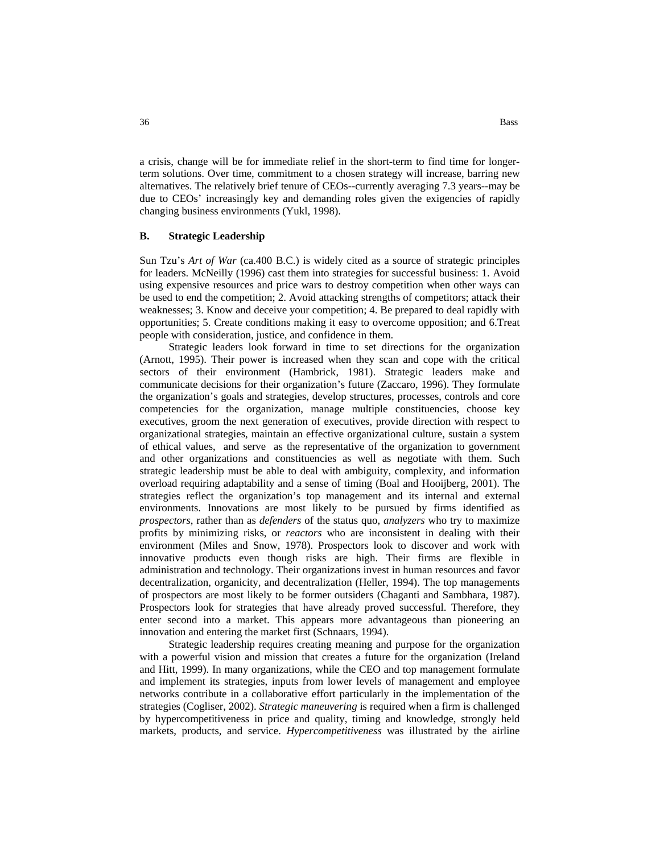a crisis, change will be for immediate relief in the short-term to find time for longerterm solutions. Over time, commitment to a chosen strategy will increase, barring new alternatives. The relatively brief tenure of CEOs--currently averaging 7.3 years--may be due to CEOs' increasingly key and demanding roles given the exigencies of rapidly changing business environments (Yukl, 1998).

#### **B. Strategic Leadership**

Sun Tzu's *Art of War* (ca.400 B.C.) is widely cited as a source of strategic principles for leaders. McNeilly (1996) cast them into strategies for successful business: 1. Avoid using expensive resources and price wars to destroy competition when other ways can be used to end the competition; 2. Avoid attacking strengths of competitors; attack their weaknesses; 3. Know and deceive your competition; 4. Be prepared to deal rapidly with opportunities; 5. Create conditions making it easy to overcome opposition; and 6.Treat people with consideration, justice, and confidence in them.

Strategic leaders look forward in time to set directions for the organization (Arnott, 1995). Their power is increased when they scan and cope with the critical sectors of their environment (Hambrick, 1981). Strategic leaders make and communicate decisions for their organization's future (Zaccaro, 1996). They formulate the organization's goals and strategies, develop structures, processes, controls and core competencies for the organization, manage multiple constituencies, choose key executives, groom the next generation of executives, provide direction with respect to organizational strategies, maintain an effective organizational culture, sustain a system of ethical values, and serve as the representative of the organization to government and other organizations and constituencies as well as negotiate with them. Such strategic leadership must be able to deal with ambiguity, complexity, and information overload requiring adaptability and a sense of timing (Boal and Hooijberg, 2001). The strategies reflect the organization's top management and its internal and external environments. Innovations are most likely to be pursued by firms identified as *prospectors*, rather than as *defenders* of the status quo, *analyzers* who try to maximize profits by minimizing risks, or *reactors* who are inconsistent in dealing with their environment (Miles and Snow, 1978). Prospectors look to discover and work with innovative products even though risks are high. Their firms are flexible in administration and technology. Their organizations invest in human resources and favor decentralization, organicity, and decentralization (Heller, 1994). The top managements of prospectors are most likely to be former outsiders (Chaganti and Sambhara, 1987). Prospectors look for strategies that have already proved successful. Therefore, they enter second into a market. This appears more advantageous than pioneering an innovation and entering the market first (Schnaars, 1994).

Strategic leadership requires creating meaning and purpose for the organization with a powerful vision and mission that creates a future for the organization (Ireland and Hitt, 1999). In many organizations, while the CEO and top management formulate and implement its strategies, inputs from lower levels of management and employee networks contribute in a collaborative effort particularly in the implementation of the strategies (Cogliser, 2002). *Strategic maneuvering* is required when a firm is challenged by hypercompetitiveness in price and quality, timing and knowledge, strongly held markets, products, and service. *Hypercompetitiveness* was illustrated by the airline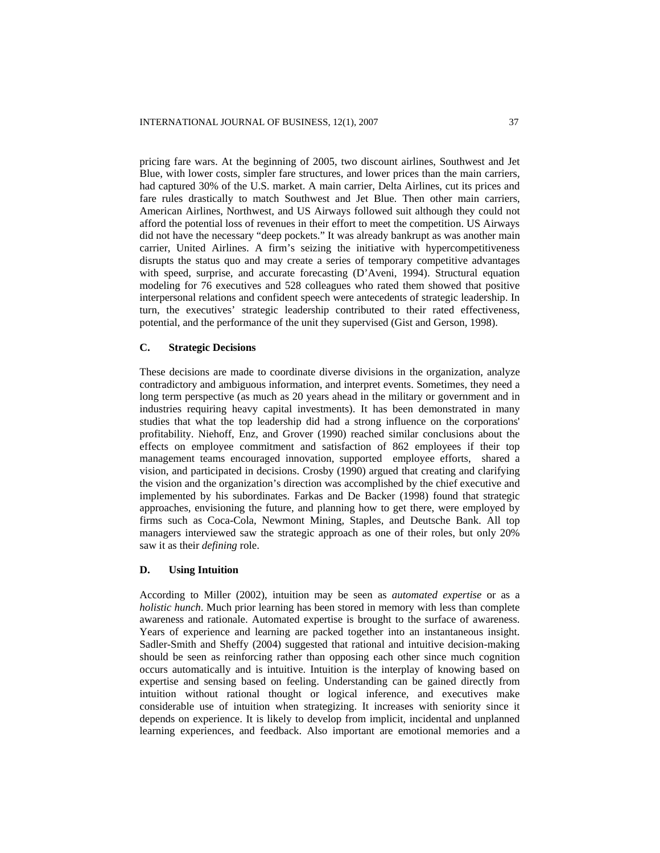pricing fare wars. At the beginning of 2005, two discount airlines, Southwest and Jet Blue, with lower costs, simpler fare structures, and lower prices than the main carriers, had captured 30% of the U.S. market. A main carrier, Delta Airlines, cut its prices and fare rules drastically to match Southwest and Jet Blue. Then other main carriers, American Airlines, Northwest, and US Airways followed suit although they could not afford the potential loss of revenues in their effort to meet the competition. US Airways did not have the necessary "deep pockets." It was already bankrupt as was another main carrier, United Airlines. A firm's seizing the initiative with hypercompetitiveness disrupts the status quo and may create a series of temporary competitive advantages with speed, surprise, and accurate forecasting (D'Aveni, 1994). Structural equation modeling for 76 executives and 528 colleagues who rated them showed that positive interpersonal relations and confident speech were antecedents of strategic leadership. In turn, the executives' strategic leadership contributed to their rated effectiveness, potential, and the performance of the unit they supervised (Gist and Gerson, 1998).

#### **C. Strategic Decisions**

These decisions are made to coordinate diverse divisions in the organization, analyze contradictory and ambiguous information, and interpret events. Sometimes, they need a long term perspective (as much as 20 years ahead in the military or government and in industries requiring heavy capital investments). It has been demonstrated in many studies that what the top leadership did had a strong influence on the corporations' profitability. Niehoff, Enz, and Grover (1990) reached similar conclusions about the effects on employee commitment and satisfaction of 862 employees if their top management teams encouraged innovation, supported employee efforts, shared a vision, and participated in decisions. Crosby (1990) argued that creating and clarifying the vision and the organization's direction was accomplished by the chief executive and implemented by his subordinates. Farkas and De Backer (1998) found that strategic approaches, envisioning the future, and planning how to get there, were employed by firms such as Coca-Cola, Newmont Mining, Staples, and Deutsche Bank. All top managers interviewed saw the strategic approach as one of their roles, but only 20% saw it as their *defining* role.

## **D. Using Intuition**

According to Miller (2002), intuition may be seen as *automated expertise* or as a *holistic hunch*. Much prior learning has been stored in memory with less than complete awareness and rationale. Automated expertise is brought to the surface of awareness. Years of experience and learning are packed together into an instantaneous insight. Sadler-Smith and Sheffy (2004) suggested that rational and intuitive decision-making should be seen as reinforcing rather than opposing each other since much cognition occurs automatically and is intuitive. Intuition is the interplay of knowing based on expertise and sensing based on feeling. Understanding can be gained directly from intuition without rational thought or logical inference, and executives make considerable use of intuition when strategizing. It increases with seniority since it depends on experience. It is likely to develop from implicit, incidental and unplanned learning experiences, and feedback. Also important are emotional memories and a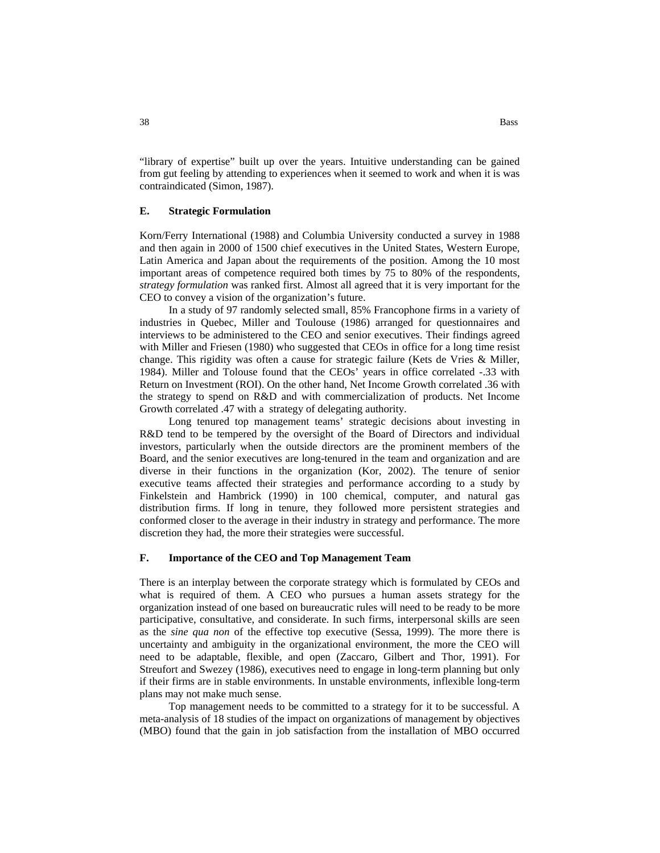"library of expertise" built up over the years. Intuitive understanding can be gained from gut feeling by attending to experiences when it seemed to work and when it is was contraindicated (Simon, 1987).

#### **E. Strategic Formulation**

Korn/Ferry International (1988) and Columbia University conducted a survey in 1988 and then again in 2000 of 1500 chief executives in the United States, Western Europe, Latin America and Japan about the requirements of the position. Among the 10 most important areas of competence required both times by 75 to 80% of the respondents, *strategy formulation* was ranked first. Almost all agreed that it is very important for the CEO to convey a vision of the organization's future.

In a study of 97 randomly selected small, 85% Francophone firms in a variety of industries in Quebec, Miller and Toulouse (1986) arranged for questionnaires and interviews to be administered to the CEO and senior executives. Their findings agreed with Miller and Friesen (1980) who suggested that CEOs in office for a long time resist change. This rigidity was often a cause for strategic failure (Kets de Vries & Miller, 1984). Miller and Tolouse found that the CEOs' years in office correlated -.33 with Return on Investment (ROI). On the other hand, Net Income Growth correlated .36 with the strategy to spend on R&D and with commercialization of products. Net Income Growth correlated .47 with a strategy of delegating authority.

Long tenured top management teams' strategic decisions about investing in R&D tend to be tempered by the oversight of the Board of Directors and individual investors, particularly when the outside directors are the prominent members of the Board, and the senior executives are long-tenured in the team and organization and are diverse in their functions in the organization (Kor, 2002). The tenure of senior executive teams affected their strategies and performance according to a study by Finkelstein and Hambrick (1990) in 100 chemical, computer, and natural gas distribution firms. If long in tenure, they followed more persistent strategies and conformed closer to the average in their industry in strategy and performance. The more discretion they had, the more their strategies were successful.

#### **F. Importance of the CEO and Top Management Team**

There is an interplay between the corporate strategy which is formulated by CEOs and what is required of them. A CEO who pursues a human assets strategy for the organization instead of one based on bureaucratic rules will need to be ready to be more participative, consultative, and considerate. In such firms, interpersonal skills are seen as the *sine qua non* of the effective top executive (Sessa, 1999). The more there is uncertainty and ambiguity in the organizational environment, the more the CEO will need to be adaptable, flexible, and open (Zaccaro, Gilbert and Thor, 1991). For Streufort and Swezey (1986), executives need to engage in long-term planning but only if their firms are in stable environments. In unstable environments, inflexible long-term plans may not make much sense.

Top management needs to be committed to a strategy for it to be successful. A meta-analysis of 18 studies of the impact on organizations of management by objectives (MBO) found that the gain in job satisfaction from the installation of MBO occurred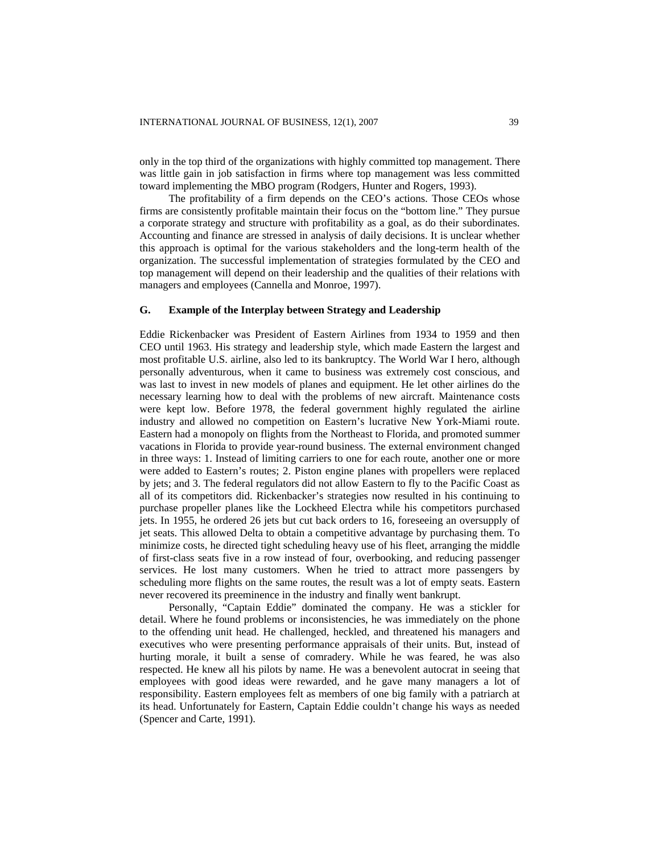only in the top third of the organizations with highly committed top management. There was little gain in job satisfaction in firms where top management was less committed toward implementing the MBO program (Rodgers, Hunter and Rogers, 1993).

The profitability of a firm depends on the CEO's actions. Those CEOs whose firms are consistently profitable maintain their focus on the "bottom line." They pursue a corporate strategy and structure with profitability as a goal, as do their subordinates. Accounting and finance are stressed in analysis of daily decisions. It is unclear whether this approach is optimal for the various stakeholders and the long-term health of the organization. The successful implementation of strategies formulated by the CEO and top management will depend on their leadership and the qualities of their relations with managers and employees (Cannella and Monroe, 1997).

#### **G. Example of the Interplay between Strategy and Leadership**

Eddie Rickenbacker was President of Eastern Airlines from 1934 to 1959 and then CEO until 1963. His strategy and leadership style, which made Eastern the largest and most profitable U.S. airline, also led to its bankruptcy. The World War I hero, although personally adventurous, when it came to business was extremely cost conscious, and was last to invest in new models of planes and equipment. He let other airlines do the necessary learning how to deal with the problems of new aircraft. Maintenance costs were kept low. Before 1978, the federal government highly regulated the airline industry and allowed no competition on Eastern's lucrative New York-Miami route. Eastern had a monopoly on flights from the Northeast to Florida, and promoted summer vacations in Florida to provide year-round business. The external environment changed in three ways: 1. Instead of limiting carriers to one for each route, another one or more were added to Eastern's routes; 2. Piston engine planes with propellers were replaced by jets; and 3. The federal regulators did not allow Eastern to fly to the Pacific Coast as all of its competitors did. Rickenbacker's strategies now resulted in his continuing to purchase propeller planes like the Lockheed Electra while his competitors purchased jets. In 1955, he ordered 26 jets but cut back orders to 16, foreseeing an oversupply of jet seats. This allowed Delta to obtain a competitive advantage by purchasing them. To minimize costs, he directed tight scheduling heavy use of his fleet, arranging the middle of first-class seats five in a row instead of four, overbooking, and reducing passenger services. He lost many customers. When he tried to attract more passengers by scheduling more flights on the same routes, the result was a lot of empty seats. Eastern never recovered its preeminence in the industry and finally went bankrupt.

Personally, "Captain Eddie" dominated the company. He was a stickler for detail. Where he found problems or inconsistencies, he was immediately on the phone to the offending unit head. He challenged, heckled, and threatened his managers and executives who were presenting performance appraisals of their units. But, instead of hurting morale, it built a sense of comradery. While he was feared, he was also respected. He knew all his pilots by name. He was a benevolent autocrat in seeing that employees with good ideas were rewarded, and he gave many managers a lot of responsibility. Eastern employees felt as members of one big family with a patriarch at its head. Unfortunately for Eastern, Captain Eddie couldn't change his ways as needed (Spencer and Carte, 1991).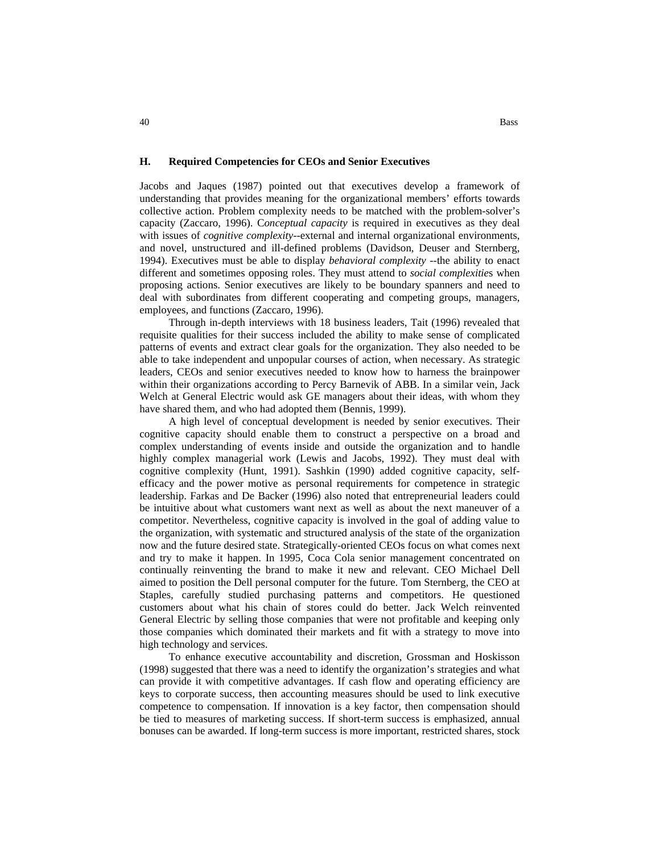#### **H. Required Competencies for CEOs and Senior Executives**

Jacobs and Jaques (1987) pointed out that executives develop a framework of understanding that provides meaning for the organizational members' efforts towards collective action. Problem complexity needs to be matched with the problem-solver's capacity (Zaccaro, 1996). C*onceptual capacity* is required in executives as they deal with issues of *cognitive complexity--*external and internal organizational environments, and novel, unstructured and ill-defined problems (Davidson, Deuser and Sternberg, 1994). Executives must be able to display *behavioral complexity --*the ability to enact different and sometimes opposing roles. They must attend to *social complexitie*s when proposing actions. Senior executives are likely to be boundary spanners and need to deal with subordinates from different cooperating and competing groups, managers, employees, and functions (Zaccaro, 1996).

Through in-depth interviews with 18 business leaders, Tait (1996) revealed that requisite qualities for their success included the ability to make sense of complicated patterns of events and extract clear goals for the organization. They also needed to be able to take independent and unpopular courses of action, when necessary. As strategic leaders, CEOs and senior executives needed to know how to harness the brainpower within their organizations according to Percy Barnevik of ABB. In a similar vein, Jack Welch at General Electric would ask GE managers about their ideas, with whom they have shared them, and who had adopted them (Bennis, 1999).

A high level of conceptual development is needed by senior executives. Their cognitive capacity should enable them to construct a perspective on a broad and complex understanding of events inside and outside the organization and to handle highly complex managerial work (Lewis and Jacobs, 1992). They must deal with cognitive complexity (Hunt, 1991). Sashkin (1990) added cognitive capacity, selfefficacy and the power motive as personal requirements for competence in strategic leadership. Farkas and De Backer (1996) also noted that entrepreneurial leaders could be intuitive about what customers want next as well as about the next maneuver of a competitor. Nevertheless, cognitive capacity is involved in the goal of adding value to the organization, with systematic and structured analysis of the state of the organization now and the future desired state. Strategically-oriented CEOs focus on what comes next and try to make it happen. In 1995, Coca Cola senior management concentrated on continually reinventing the brand to make it new and relevant. CEO Michael Dell aimed to position the Dell personal computer for the future. Tom Sternberg, the CEO at Staples, carefully studied purchasing patterns and competitors. He questioned customers about what his chain of stores could do better. Jack Welch reinvented General Electric by selling those companies that were not profitable and keeping only those companies which dominated their markets and fit with a strategy to move into high technology and services.

To enhance executive accountability and discretion, Grossman and Hoskisson (1998) suggested that there was a need to identify the organization's strategies and what can provide it with competitive advantages. If cash flow and operating efficiency are keys to corporate success, then accounting measures should be used to link executive competence to compensation. If innovation is a key factor, then compensation should be tied to measures of marketing success. If short-term success is emphasized, annual bonuses can be awarded. If long-term success is more important, restricted shares, stock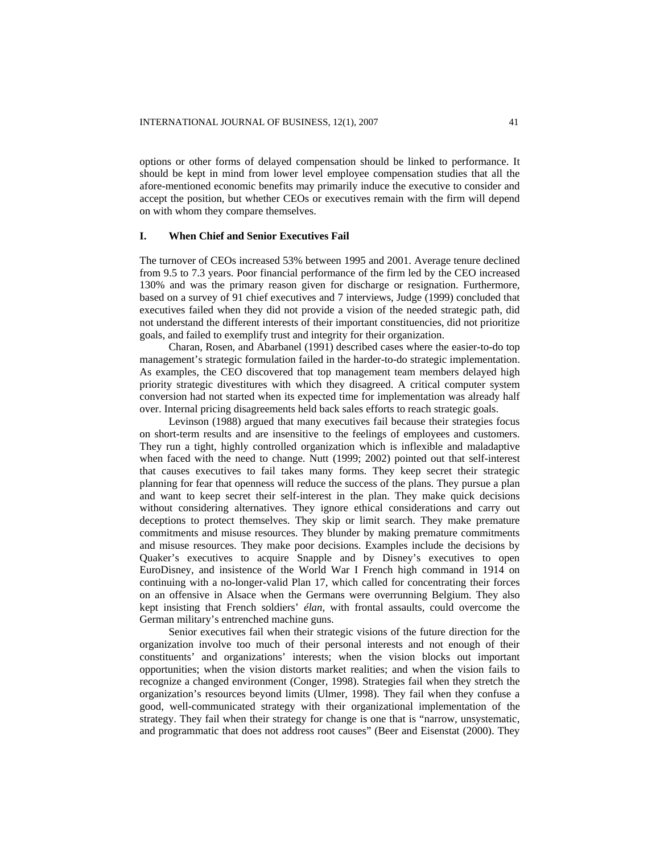options or other forms of delayed compensation should be linked to performance. It should be kept in mind from lower level employee compensation studies that all the afore-mentioned economic benefits may primarily induce the executive to consider and accept the position, but whether CEOs or executives remain with the firm will depend on with whom they compare themselves.

#### **I. When Chief and Senior Executives Fail**

The turnover of CEOs increased 53% between 1995 and 2001. Average tenure declined from 9.5 to 7.3 years. Poor financial performance of the firm led by the CEO increased 130% and was the primary reason given for discharge or resignation. Furthermore, based on a survey of 91 chief executives and 7 interviews, Judge (1999) concluded that executives failed when they did not provide a vision of the needed strategic path, did not understand the different interests of their important constituencies, did not prioritize goals, and failed to exemplify trust and integrity for their organization.

Charan, Rosen, and Abarbanel (1991) described cases where the easier-to-do top management's strategic formulation failed in the harder-to-do strategic implementation. As examples, the CEO discovered that top management team members delayed high priority strategic divestitures with which they disagreed. A critical computer system conversion had not started when its expected time for implementation was already half over. Internal pricing disagreements held back sales efforts to reach strategic goals.

Levinson (1988) argued that many executives fail because their strategies focus on short-term results and are insensitive to the feelings of employees and customers. They run a tight, highly controlled organization which is inflexible and maladaptive when faced with the need to change. Nutt (1999; 2002) pointed out that self-interest that causes executives to fail takes many forms. They keep secret their strategic planning for fear that openness will reduce the success of the plans. They pursue a plan and want to keep secret their self-interest in the plan. They make quick decisions without considering alternatives. They ignore ethical considerations and carry out deceptions to protect themselves. They skip or limit search. They make premature commitments and misuse resources. They blunder by making premature commitments and misuse resources. They make poor decisions. Examples include the decisions by Quaker's executives to acquire Snapple and by Disney's executives to open EuroDisney, and insistence of the World War I French high command in 1914 on continuing with a no-longer-valid Plan 17, which called for concentrating their forces on an offensive in Alsace when the Germans were overrunning Belgium. They also kept insisting that French soldiers' *élan,* with frontal assaults, could overcome the German military's entrenched machine guns.

Senior executives fail when their strategic visions of the future direction for the organization involve too much of their personal interests and not enough of their constituents' and organizations' interests; when the vision blocks out important opportunities; when the vision distorts market realities; and when the vision fails to recognize a changed environment (Conger, 1998). Strategies fail when they stretch the organization's resources beyond limits (Ulmer, 1998). They fail when they confuse a good, well-communicated strategy with their organizational implementation of the strategy. They fail when their strategy for change is one that is "narrow, unsystematic, and programmatic that does not address root causes" (Beer and Eisenstat (2000). They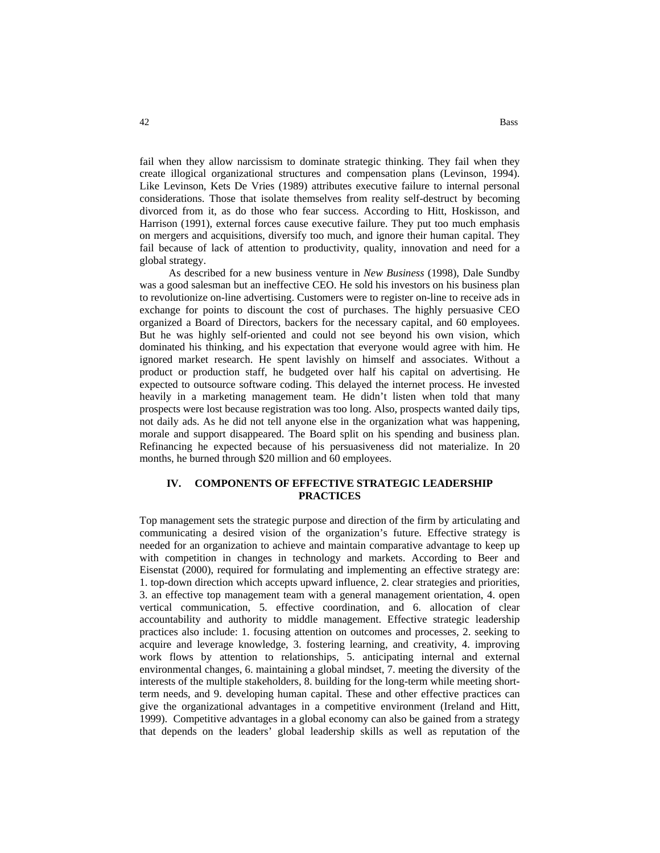fail when they allow narcissism to dominate strategic thinking. They fail when they create illogical organizational structures and compensation plans (Levinson, 1994). Like Levinson, Kets De Vries (1989) attributes executive failure to internal personal considerations. Those that isolate themselves from reality self-destruct by becoming divorced from it, as do those who fear success. According to Hitt, Hoskisson, and Harrison (1991), external forces cause executive failure. They put too much emphasis on mergers and acquisitions, diversify too much, and ignore their human capital. They fail because of lack of attention to productivity, quality, innovation and need for a global strategy.

As described for a new business venture in *New Business* (1998), Dale Sundby was a good salesman but an ineffective CEO. He sold his investors on his business plan to revolutionize on-line advertising. Customers were to register on-line to receive ads in exchange for points to discount the cost of purchases. The highly persuasive CEO organized a Board of Directors, backers for the necessary capital, and 60 employees. But he was highly self-oriented and could not see beyond his own vision, which dominated his thinking, and his expectation that everyone would agree with him. He ignored market research. He spent lavishly on himself and associates. Without a product or production staff, he budgeted over half his capital on advertising. He expected to outsource software coding. This delayed the internet process. He invested heavily in a marketing management team. He didn't listen when told that many prospects were lost because registration was too long. Also, prospects wanted daily tips, not daily ads. As he did not tell anyone else in the organization what was happening, morale and support disappeared. The Board split on his spending and business plan. Refinancing he expected because of his persuasiveness did not materialize. In 20 months, he burned through \$20 million and 60 employees.

## **IV. COMPONENTS OF EFFECTIVE STRATEGIC LEADERSHIP PRACTICES**

Top management sets the strategic purpose and direction of the firm by articulating and communicating a desired vision of the organization's future. Effective strategy is needed for an organization to achieve and maintain comparative advantage to keep up with competition in changes in technology and markets. According to Beer and Eisenstat (2000), required for formulating and implementing an effective strategy are: 1. top-down direction which accepts upward influence, 2. clear strategies and priorities, 3. an effective top management team with a general management orientation, 4. open vertical communication, 5. effective coordination, and 6. allocation of clear accountability and authority to middle management. Effective strategic leadership practices also include: 1. focusing attention on outcomes and processes, 2. seeking to acquire and leverage knowledge, 3. fostering learning, and creativity, 4. improving work flows by attention to relationships, 5. anticipating internal and external environmental changes, 6. maintaining a global mindset, 7. meeting the diversity of the interests of the multiple stakeholders, 8. building for the long-term while meeting shortterm needs, and 9. developing human capital. These and other effective practices can give the organizational advantages in a competitive environment (Ireland and Hitt, 1999). Competitive advantages in a global economy can also be gained from a strategy that depends on the leaders' global leadership skills as well as reputation of the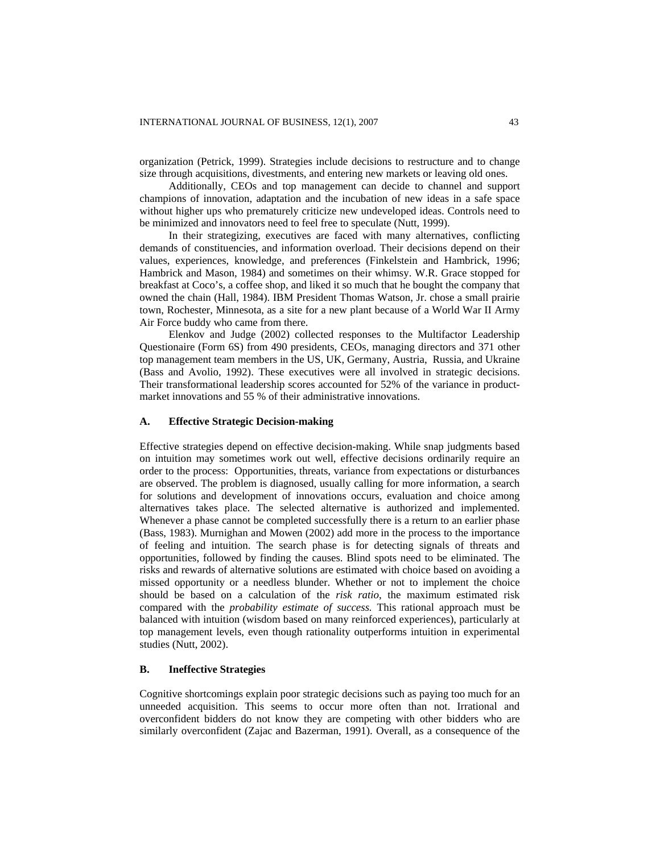organization (Petrick, 1999). Strategies include decisions to restructure and to change size through acquisitions, divestments, and entering new markets or leaving old ones.

Additionally, CEOs and top management can decide to channel and support champions of innovation, adaptation and the incubation of new ideas in a safe space without higher ups who prematurely criticize new undeveloped ideas. Controls need to be minimized and innovators need to feel free to speculate (Nutt, 1999).

In their strategizing, executives are faced with many alternatives, conflicting demands of constituencies, and information overload. Their decisions depend on their values, experiences, knowledge, and preferences (Finkelstein and Hambrick, 1996; Hambrick and Mason, 1984) and sometimes on their whimsy. W.R. Grace stopped for breakfast at Coco's, a coffee shop, and liked it so much that he bought the company that owned the chain (Hall, 1984). IBM President Thomas Watson, Jr. chose a small prairie town, Rochester, Minnesota, as a site for a new plant because of a World War II Army Air Force buddy who came from there.

Elenkov and Judge (2002) collected responses to the Multifactor Leadership Questionaire (Form 6S) from 490 presidents, CEOs, managing directors and 371 other top management team members in the US, UK, Germany, Austria, Russia, and Ukraine (Bass and Avolio, 1992). These executives were all involved in strategic decisions. Their transformational leadership scores accounted for 52% of the variance in productmarket innovations and 55 % of their administrative innovations.

#### **A. Effective Strategic Decision-making**

Effective strategies depend on effective decision-making. While snap judgments based on intuition may sometimes work out well, effective decisions ordinarily require an order to the process: Opportunities, threats, variance from expectations or disturbances are observed. The problem is diagnosed, usually calling for more information, a search for solutions and development of innovations occurs, evaluation and choice among alternatives takes place. The selected alternative is authorized and implemented. Whenever a phase cannot be completed successfully there is a return to an earlier phase (Bass, 1983). Murnighan and Mowen (2002) add more in the process to the importance of feeling and intuition. The search phase is for detecting signals of threats and opportunities, followed by finding the causes. Blind spots need to be eliminated. The risks and rewards of alternative solutions are estimated with choice based on avoiding a missed opportunity or a needless blunder. Whether or not to implement the choice should be based on a calculation of the *risk ratio*, the maximum estimated risk compared with the *probability estimate of success.* This rational approach must be balanced with intuition (wisdom based on many reinforced experiences), particularly at top management levels, even though rationality outperforms intuition in experimental studies (Nutt, 2002).

#### **B. Ineffective Strategies**

Cognitive shortcomings explain poor strategic decisions such as paying too much for an unneeded acquisition. This seems to occur more often than not. Irrational and overconfident bidders do not know they are competing with other bidders who are similarly overconfident (Zajac and Bazerman, 1991). Overall, as a consequence of the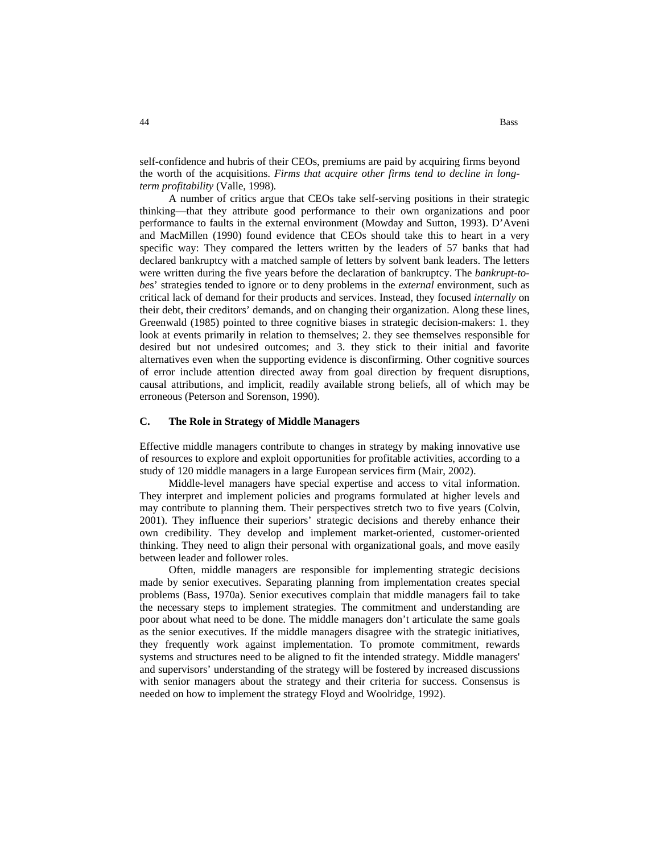self-confidence and hubris of their CEOs, premiums are paid by acquiring firms beyond the worth of the acquisitions. *Firms that acquire other firms tend to decline in longterm profitability* (Valle, 1998)*.* 

A number of critics argue that CEOs take self-serving positions in their strategic thinking—that they attribute good performance to their own organizations and poor performance to faults in the external environment (Mowday and Sutton, 1993). D'Aveni and MacMillen (1990) found evidence that CEOs should take this to heart in a very specific way: They compared the letters written by the leaders of 57 banks that had declared bankruptcy with a matched sample of letters by solvent bank leaders. The letters were written during the five years before the declaration of bankruptcy. The *bankrupt-tobe*s' strategies tended to ignore or to deny problems in the *external* environment, such as critical lack of demand for their products and services. Instead, they focused *internally* on their debt, their creditors' demands, and on changing their organization. Along these lines, Greenwald (1985) pointed to three cognitive biases in strategic decision-makers: 1. they look at events primarily in relation to themselves; 2. they see themselves responsible for desired but not undesired outcomes; and 3. they stick to their initial and favorite alternatives even when the supporting evidence is disconfirming. Other cognitive sources of error include attention directed away from goal direction by frequent disruptions, causal attributions, and implicit, readily available strong beliefs, all of which may be erroneous (Peterson and Sorenson, 1990).

#### **C. The Role in Strategy of Middle Managers**

Effective middle managers contribute to changes in strategy by making innovative use of resources to explore and exploit opportunities for profitable activities, according to a study of 120 middle managers in a large European services firm (Mair, 2002).

Middle-level managers have special expertise and access to vital information. They interpret and implement policies and programs formulated at higher levels and may contribute to planning them. Their perspectives stretch two to five years (Colvin, 2001). They influence their superiors' strategic decisions and thereby enhance their own credibility. They develop and implement market-oriented, customer-oriented thinking. They need to align their personal with organizational goals, and move easily between leader and follower roles.

Often, middle managers are responsible for implementing strategic decisions made by senior executives. Separating planning from implementation creates special problems (Bass, 1970a). Senior executives complain that middle managers fail to take the necessary steps to implement strategies. The commitment and understanding are poor about what need to be done. The middle managers don't articulate the same goals as the senior executives. If the middle managers disagree with the strategic initiatives, they frequently work against implementation. To promote commitment, rewards systems and structures need to be aligned to fit the intended strategy. Middle managers' and supervisors' understanding of the strategy will be fostered by increased discussions with senior managers about the strategy and their criteria for success. Consensus is needed on how to implement the strategy Floyd and Woolridge, 1992).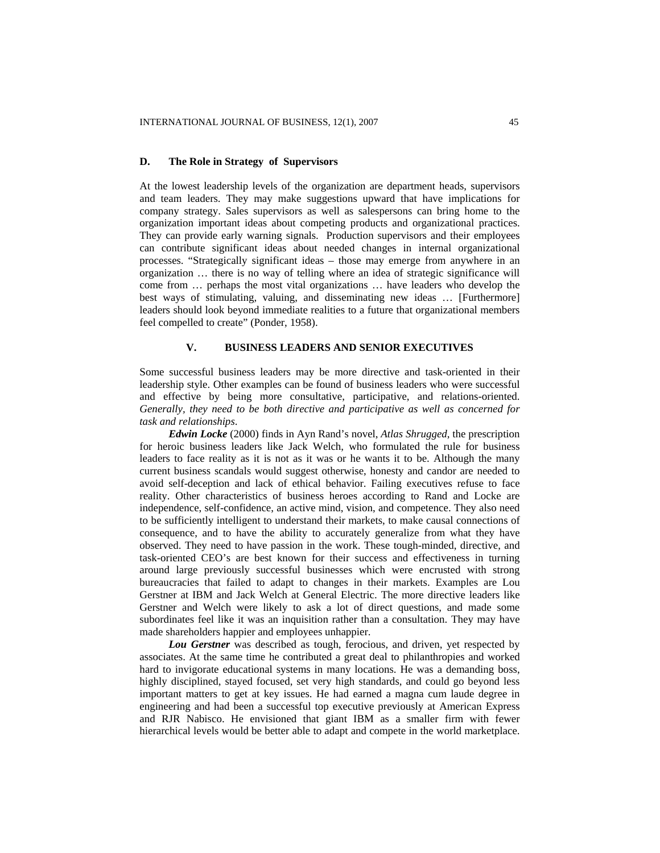## **D. The Role in Strategy of Supervisors**

At the lowest leadership levels of the organization are department heads, supervisors and team leaders. They may make suggestions upward that have implications for company strategy. Sales supervisors as well as salespersons can bring home to the organization important ideas about competing products and organizational practices. They can provide early warning signals. Production supervisors and their employees can contribute significant ideas about needed changes in internal organizational processes. "Strategically significant ideas – those may emerge from anywhere in an organization … there is no way of telling where an idea of strategic significance will come from … perhaps the most vital organizations … have leaders who develop the best ways of stimulating, valuing, and disseminating new ideas … [Furthermore] leaders should look beyond immediate realities to a future that organizational members feel compelled to create" (Ponder, 1958).

#### **V. BUSINESS LEADERS AND SENIOR EXECUTIVES**

Some successful business leaders may be more directive and task-oriented in their leadership style. Other examples can be found of business leaders who were successful and effective by being more consultative, participative, and relations-oriented. *Generally, they need to be both directive and participative as well as concerned for task and relationships*.

*Edwin Locke* (2000) finds in Ayn Rand's novel, *Atlas Shrugged*, the prescription for heroic business leaders like Jack Welch, who formulated the rule for business leaders to face reality as it is not as it was or he wants it to be. Although the many current business scandals would suggest otherwise, honesty and candor are needed to avoid self-deception and lack of ethical behavior. Failing executives refuse to face reality. Other characteristics of business heroes according to Rand and Locke are independence, self-confidence, an active mind, vision, and competence. They also need to be sufficiently intelligent to understand their markets, to make causal connections of consequence, and to have the ability to accurately generalize from what they have observed. They need to have passion in the work. These tough-minded, directive, and task-oriented CEO's are best known for their success and effectiveness in turning around large previously successful businesses which were encrusted with strong bureaucracies that failed to adapt to changes in their markets. Examples are Lou Gerstner at IBM and Jack Welch at General Electric. The more directive leaders like Gerstner and Welch were likely to ask a lot of direct questions, and made some subordinates feel like it was an inquisition rather than a consultation. They may have made shareholders happier and employees unhappier.

*Lou Gerstner* was described as tough, ferocious, and driven, yet respected by associates. At the same time he contributed a great deal to philanthropies and worked hard to invigorate educational systems in many locations. He was a demanding boss, highly disciplined, stayed focused, set very high standards, and could go beyond less important matters to get at key issues. He had earned a magna cum laude degree in engineering and had been a successful top executive previously at American Express and RJR Nabisco. He envisioned that giant IBM as a smaller firm with fewer hierarchical levels would be better able to adapt and compete in the world marketplace.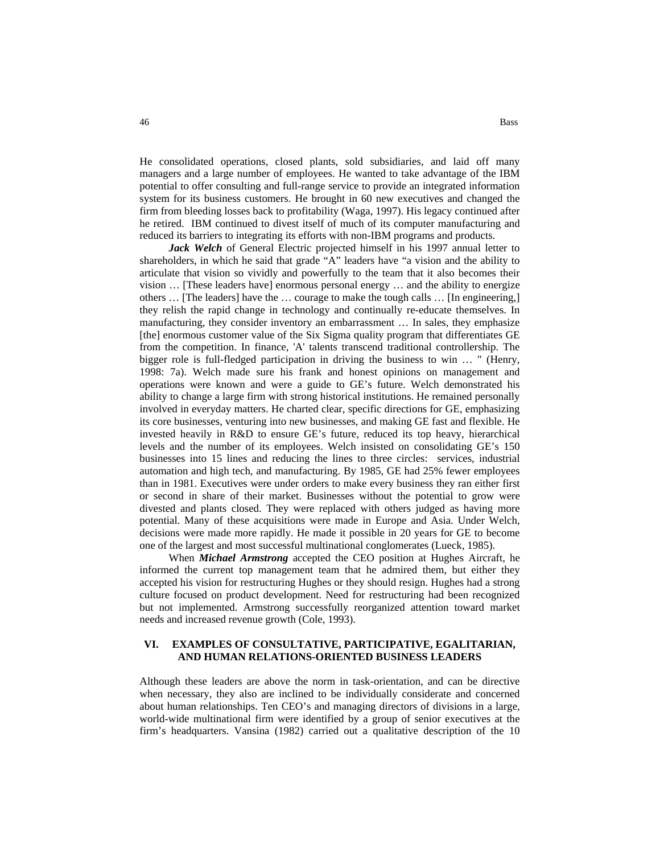He consolidated operations, closed plants, sold subsidiaries, and laid off many managers and a large number of employees. He wanted to take advantage of the IBM potential to offer consulting and full-range service to provide an integrated information system for its business customers. He brought in 60 new executives and changed the firm from bleeding losses back to profitability (Waga, 1997). His legacy continued after he retired. IBM continued to divest itself of much of its computer manufacturing and reduced its barriers to integrating its efforts with non-IBM programs and products.

*Jack Welch* of General Electric projected himself in his 1997 annual letter to shareholders, in which he said that grade "A" leaders have "a vision and the ability to articulate that vision so vividly and powerfully to the team that it also becomes their vision … [These leaders have] enormous personal energy … and the ability to energize others … [The leaders] have the … courage to make the tough calls … [In engineering,] they relish the rapid change in technology and continually re-educate themselves. In manufacturing, they consider inventory an embarrassment … In sales, they emphasize [the] enormous customer value of the Six Sigma quality program that differentiates GE from the competition. In finance, 'A' talents transcend traditional controllership. The bigger role is full-fledged participation in driving the business to win … " (Henry, 1998: 7a). Welch made sure his frank and honest opinions on management and operations were known and were a guide to GE's future. Welch demonstrated his ability to change a large firm with strong historical institutions. He remained personally involved in everyday matters. He charted clear, specific directions for GE, emphasizing its core businesses, venturing into new businesses, and making GE fast and flexible. He invested heavily in R&D to ensure GE's future, reduced its top heavy, hierarchical levels and the number of its employees. Welch insisted on consolidating GE's 150 businesses into 15 lines and reducing the lines to three circles: services, industrial automation and high tech, and manufacturing. By 1985, GE had 25% fewer employees than in 1981. Executives were under orders to make every business they ran either first or second in share of their market. Businesses without the potential to grow were divested and plants closed. They were replaced with others judged as having more potential. Many of these acquisitions were made in Europe and Asia. Under Welch, decisions were made more rapidly. He made it possible in 20 years for GE to become one of the largest and most successful multinational conglomerates (Lueck, 1985).

When *Michael Armstrong* accepted the CEO position at Hughes Aircraft, he informed the current top management team that he admired them, but either they accepted his vision for restructuring Hughes or they should resign. Hughes had a strong culture focused on product development. Need for restructuring had been recognized but not implemented. Armstrong successfully reorganized attention toward market needs and increased revenue growth (Cole, 1993).

## **VI. EXAMPLES OF CONSULTATIVE, PARTICIPATIVE, EGALITARIAN, AND HUMAN RELATIONS-ORIENTED BUSINESS LEADERS**

Although these leaders are above the norm in task-orientation, and can be directive when necessary, they also are inclined to be individually considerate and concerned about human relationships. Ten CEO's and managing directors of divisions in a large, world-wide multinational firm were identified by a group of senior executives at the firm's headquarters. Vansina (1982) carried out a qualitative description of the 10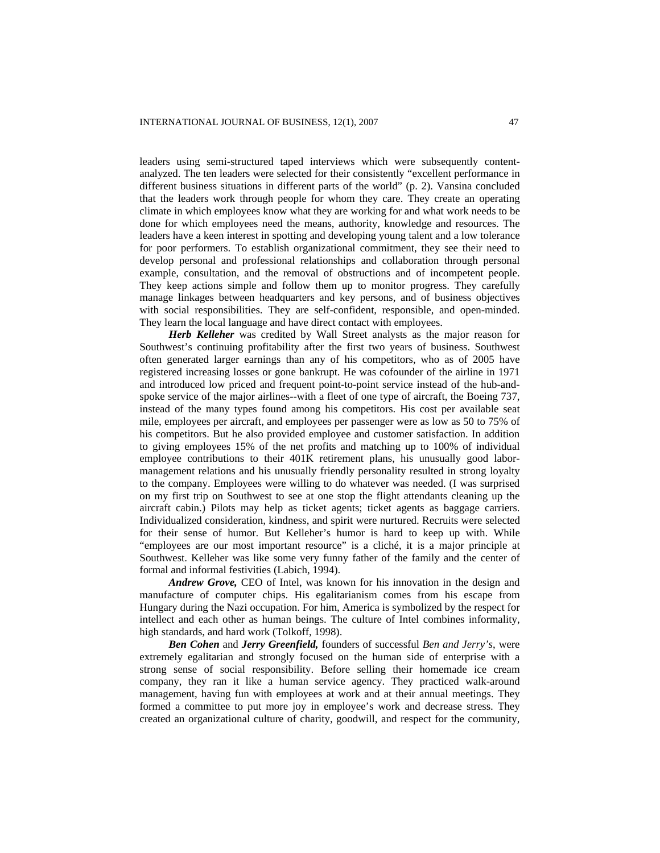leaders using semi-structured taped interviews which were subsequently contentanalyzed. The ten leaders were selected for their consistently "excellent performance in different business situations in different parts of the world" (p. 2). Vansina concluded that the leaders work through people for whom they care. They create an operating climate in which employees know what they are working for and what work needs to be done for which employees need the means, authority, knowledge and resources. The leaders have a keen interest in spotting and developing young talent and a low tolerance for poor performers. To establish organizational commitment, they see their need to develop personal and professional relationships and collaboration through personal example, consultation, and the removal of obstructions and of incompetent people. They keep actions simple and follow them up to monitor progress. They carefully manage linkages between headquarters and key persons, and of business objectives with social responsibilities. They are self-confident, responsible, and open-minded. They learn the local language and have direct contact with employees.

*Herb Kelleher* was credited by Wall Street analysts as the major reason for Southwest's continuing profitability after the first two years of business. Southwest often generated larger earnings than any of his competitors, who as of 2005 have registered increasing losses or gone bankrupt. He was cofounder of the airline in 1971 and introduced low priced and frequent point-to-point service instead of the hub-andspoke service of the major airlines--with a fleet of one type of aircraft, the Boeing 737, instead of the many types found among his competitors. His cost per available seat mile, employees per aircraft, and employees per passenger were as low as 50 to 75% of his competitors. But he also provided employee and customer satisfaction. In addition to giving employees 15% of the net profits and matching up to 100% of individual employee contributions to their 401K retirement plans, his unusually good labormanagement relations and his unusually friendly personality resulted in strong loyalty to the company. Employees were willing to do whatever was needed. (I was surprised on my first trip on Southwest to see at one stop the flight attendants cleaning up the aircraft cabin.) Pilots may help as ticket agents; ticket agents as baggage carriers. Individualized consideration, kindness, and spirit were nurtured. Recruits were selected for their sense of humor. But Kelleher's humor is hard to keep up with. While "employees are our most important resource" is a cliché, it is a major principle at Southwest. Kelleher was like some very funny father of the family and the center of formal and informal festivities (Labich, 1994).

*Andrew Grove,* CEO of Intel, was known for his innovation in the design and manufacture of computer chips. His egalitarianism comes from his escape from Hungary during the Nazi occupation. For him, America is symbolized by the respect for intellect and each other as human beings. The culture of Intel combines informality, high standards, and hard work (Tolkoff, 1998).

*Ben Cohen* and *Jerry Greenfield,* founders of successful *Ben and Jerry's*, were extremely egalitarian and strongly focused on the human side of enterprise with a strong sense of social responsibility. Before selling their homemade ice cream company, they ran it like a human service agency. They practiced walk-around management, having fun with employees at work and at their annual meetings. They formed a committee to put more joy in employee's work and decrease stress. They created an organizational culture of charity, goodwill, and respect for the community,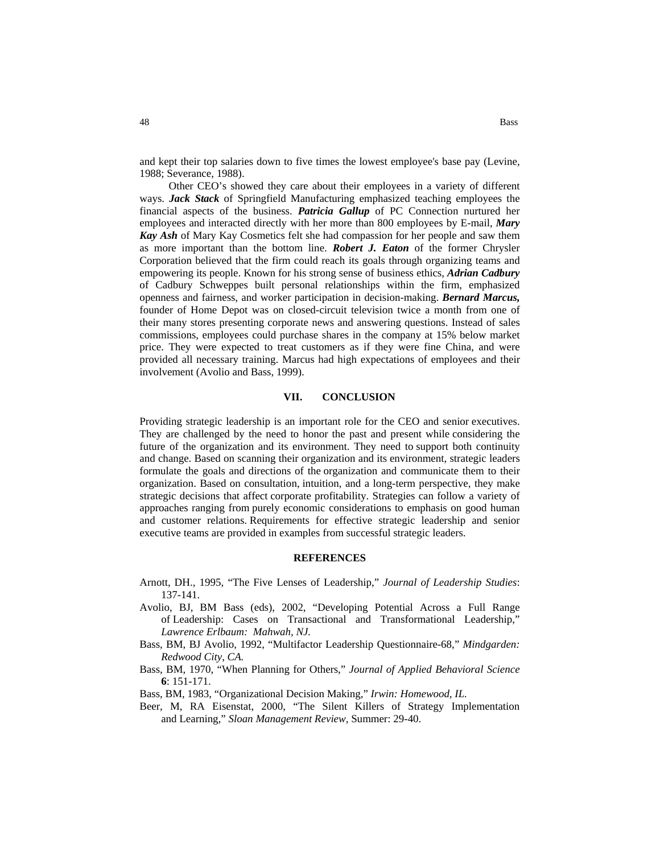and kept their top salaries down to five times the lowest employee's base pay (Levine, 1988; Severance, 1988).

Other CEO's showed they care about their employees in a variety of different ways. *Jack Stack* of Springfield Manufacturing emphasized teaching employees the financial aspects of the business. *Patricia Gallup* of PC Connection nurtured her employees and interacted directly with her more than 800 employees by E-mail, *Mary Kay Ash* of Mary Kay Cosmetics felt she had compassion for her people and saw them as more important than the bottom line. *Robert J. Eaton* of the former Chrysler Corporation believed that the firm could reach its goals through organizing teams and empowering its people. Known for his strong sense of business ethics, *Adrian Cadbury* of Cadbury Schweppes built personal relationships within the firm, emphasized openness and fairness, and worker participation in decision-making. *Bernard Marcus,* founder of Home Depot was on closed-circuit television twice a month from one of their many stores presenting corporate news and answering questions. Instead of sales commissions, employees could purchase shares in the company at 15% below market price. They were expected to treat customers as if they were fine China, and were provided all necessary training. Marcus had high expectations of employees and their involvement (Avolio and Bass, 1999).

## **VII. CONCLUSION**

Providing strategic leadership is an important role for the CEO and senior executives. They are challenged by the need to honor the past and present while considering the future of the organization and its environment. They need to support both continuity and change. Based on scanning their organization and its environment, strategic leaders formulate the goals and directions of the organization and communicate them to their organization. Based on consultation, intuition, and a long-term perspective, they make strategic decisions that affect corporate profitability. Strategies can follow a variety of approaches ranging from purely economic considerations to emphasis on good human and customer relations. Requirements for effective strategic leadership and senior executive teams are provided in examples from successful strategic leaders.

### **REFERENCES**

- Arnott, DH., 1995, "The Five Lenses of Leadership," *Journal of Leadership Studies*: 137-141.
- Avolio, BJ, BM Bass (eds), 2002, "Developing Potential Across a Full Range of Leadership: Cases on Transactional and Transformational Leadership," *Lawrence Erlbaum: Mahwah, NJ.*
- Bass, BM, BJ Avolio, 1992, "Multifactor Leadership Questionnaire-68," *Mindgarden: Redwood City, CA.*
- Bass, BM, 1970, "When Planning for Others," *Journal of Applied Behavioral Science*  **6**: 151-171.
- Bass, BM, 1983, "Organizational Decision Making," *Irwin: Homewood, IL.*
- Beer, M, RA Eisenstat, 2000, "The Silent Killers of Strategy Implementation and Learning," *Sloan Management Review,* Summer: 29-40.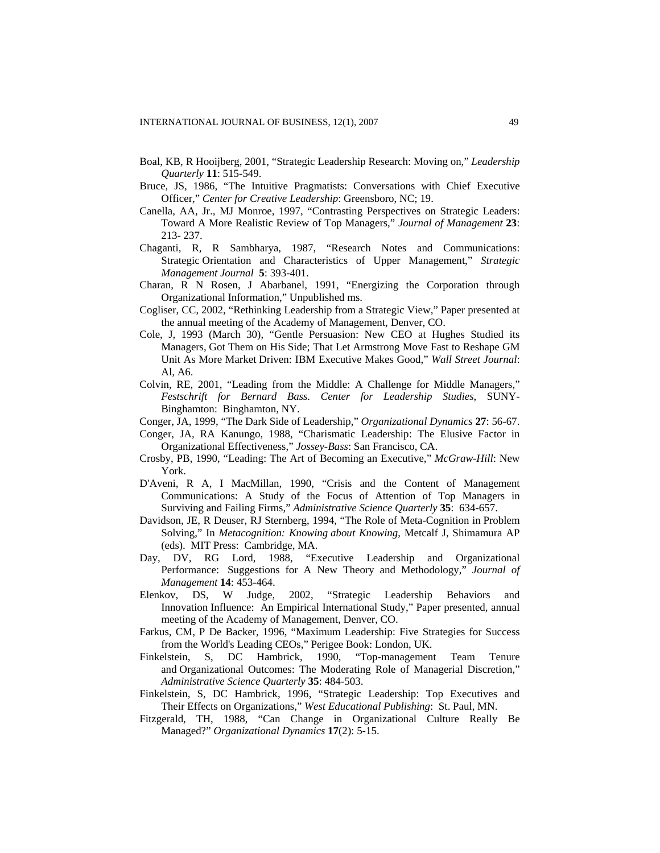- Boal, KB, R Hooijberg, 2001, "Strategic Leadership Research: Moving on," *Leadership Quarterly* **11**: 515-549.
- Bruce, JS, 1986, "The Intuitive Pragmatists: Conversations with Chief Executive Officer," *Center for Creative Leadership*: Greensboro, NC; 19.
- Canella, AA, Jr., MJ Monroe, 1997, "Contrasting Perspectives on Strategic Leaders: Toward A More Realistic Review of Top Managers," *Journal of Management* **23**: 213- 237.
- Chaganti, R, R Sambharya, 1987, "Research Notes and Communications: Strategic Orientation and Characteristics of Upper Management," *Strategic Management Journal* **5**: 393-401.
- Charan, R N Rosen, J Abarbanel, 1991, "Energizing the Corporation through Organizational Information," Unpublished ms.
- Cogliser, CC, 2002, "Rethinking Leadership from a Strategic View," Paper presented at the annual meeting of the Academy of Management, Denver, CO.
- Cole, J, 1993 (March 30), "Gentle Persuasion: New CEO at Hughes Studied its Managers, Got Them on His Side; That Let Armstrong Move Fast to Reshape GM Unit As More Market Driven: IBM Executive Makes Good," *Wall Street Journal*: Al, A6.
- Colvin, RE, 2001, "Leading from the Middle: A Challenge for Middle Managers," *Festschrift for Bernard Bass. Center for Leadership Studies*, SUNY-Binghamton: Binghamton, NY.
- Conger, JA, 1999, "The Dark Side of Leadership," *Organizational Dynamics* **27**: 56-67.
- Conger, JA, RA Kanungo, 1988, "Charismatic Leadership: The Elusive Factor in Organizational Effectiveness," *Jossey-Bass*: San Francisco, CA.
- Crosby, PB, 1990, "Leading: The Art of Becoming an Executive," *McGraw-Hill*: New York.
- D'Aveni, R A, I MacMillan, 1990, "Crisis and the Content of Management Communications: A Study of the Focus of Attention of Top Managers in Surviving and Failing Firms," *Administrative Science Quarterly* **35**:634-657.
- Davidson, JE, R Deuser, RJ Sternberg, 1994, "The Role of Meta-Cognition in Problem Solving," In *Metacognition: Knowing about Knowing*, Metcalf J, Shimamura AP (eds). MIT Press: Cambridge, MA.
- Day, DV, RG Lord, 1988, "Executive Leadership and Organizational Performance: Suggestions for A New Theory and Methodology," *Journal of Management* **14**: 453-464.
- Elenkov, DS, W Judge, 2002, "Strategic Leadership Behaviors and Innovation Influence: An Empirical International Study," Paper presented, annual meeting of the Academy of Management, Denver, CO.
- Farkus, CM, P De Backer, 1996, "Maximum Leadership: Five Strategies for Success from the World's Leading CEOs," Perigee Book: London, UK.
- Finkelstein, S, DC Hambrick, 1990, "Top-management Team Tenure and Organizational Outcomes: The Moderating Role of Managerial Discretion," *Administrative Science Quarterly* **35**: 484-503.
- Finkelstein, S, DC Hambrick, 1996, "Strategic Leadership: Top Executives and Their Effects on Organizations," *West Educational Publishing*: St. Paul, MN.
- Fitzgerald, TH, 1988, "Can Change in Organizational Culture Really Be Managed?" *Organizational Dynamics* **17**(2): 5-15.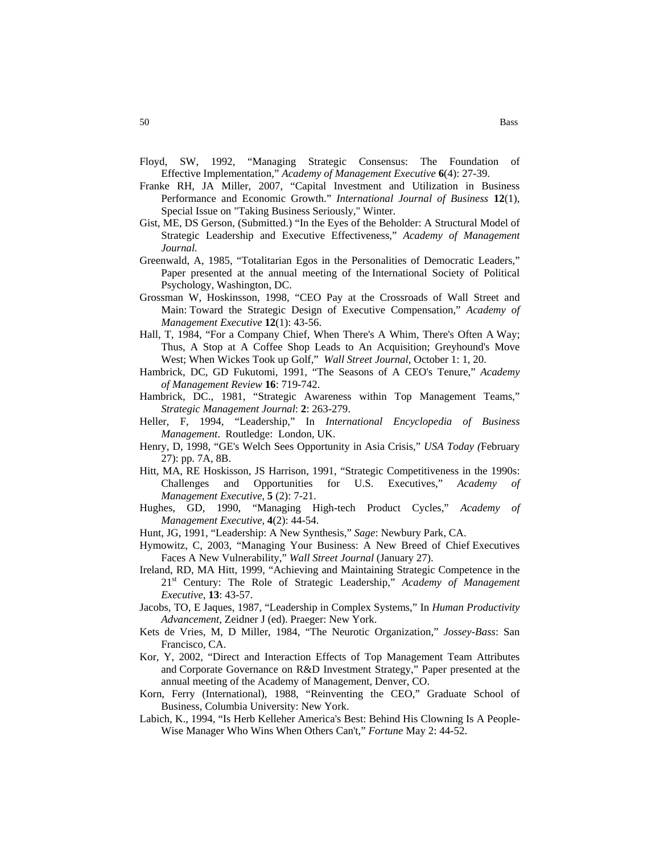- Floyd, SW, 1992, "Managing Strategic Consensus: The Foundation of Effective Implementation," *Academy of Management Executive* **6**(4): 27-39.
- Franke RH, JA Miller, 2007, "Capital Investment and Utilization in Business Performance and Economic Growth." *International Journal of Business* **12**(1), Special Issue on "Taking Business Seriously," Winter.
- Gist, ME, DS Gerson, (Submitted.) "In the Eyes of the Beholder: A Structural Model of Strategic Leadership and Executive Effectiveness," *Academy of Management Journal.*
- Greenwald, A, 1985, "Totalitarian Egos in the Personalities of Democratic Leaders," Paper presented at the annual meeting of the International Society of Political Psychology, Washington, DC.
- Grossman W, Hoskinsson, 1998, "CEO Pay at the Crossroads of Wall Street and Main: Toward the Strategic Design of Executive Compensation," *Academy of Management Executive* **12**(1): 43-56.
- Hall, T, 1984, "For a Company Chief, When There's A Whim, There's Often A Way; Thus, A Stop at A Coffee Shop Leads to An Acquisition; Greyhound's Move West; When Wickes Took up Golf," *Wall Street Journal*, October 1: 1, 20.
- Hambrick, DC, GD Fukutomi, 1991, "The Seasons of A CEO's Tenure," *Academy of Management Review* **16**: 719-742.
- Hambrick, DC., 1981, "Strategic Awareness within Top Management Teams," *Strategic Management Journal*: **2**: 263-279.
- Heller, F, 1994, "Leadership," In *International Encyclopedia of Business Management*. Routledge: London, UK.
- Henry, D, 1998, "GE's Welch Sees Opportunity in Asia Crisis," *USA Today (*February 27): pp. 7A, 8B.
- Hitt, MA, RE Hoskisson, JS Harrison, 1991, "Strategic Competitiveness in the 1990s: Challenges and Opportunities for U.S. Executives," *Academy of Management Executive*, **5** (2): 7-21.
- Hughes, GD, 1990, "Managing High-tech Product Cycles," *Academy of Management Executive*, **4**(2): 44-54.
- Hunt, JG, 1991, "Leadership: A New Synthesis," *Sage*: Newbury Park, CA.
- Hymowitz, C, 2003, "Managing Your Business: A New Breed of Chief Executives Faces A New Vulnerability," *Wall Street Journal* (January 27).
- Ireland, RD, MA Hitt, 1999, "Achieving and Maintaining Strategic Competence in the 21st Century: The Role of Strategic Leadership," *Academy of Management Executive*, **13**: 43-57.
- Jacobs, TO, E Jaques, 1987, "Leadership in Complex Systems," In *Human Productivity Advancement*, Zeidner J (ed). Praeger: New York.
- Kets de Vries, M, D Miller, 1984, "The Neurotic Organization," *Jossey-Bass*: San Francisco, CA.
- Kor, Y, 2002, "Direct and Interaction Effects of Top Management Team Attributes and Corporate Governance on R&D Investment Strategy," Paper presented at the annual meeting of the Academy of Management, Denver, CO.
- Korn, Ferry (International), 1988, "Reinventing the CEO," Graduate School of Business, Columbia University: New York.
- Labich, K., 1994, "Is Herb Kelleher America's Best: Behind His Clowning Is A People-Wise Manager Who Wins When Others Can't," *Fortune* May 2: 44-52.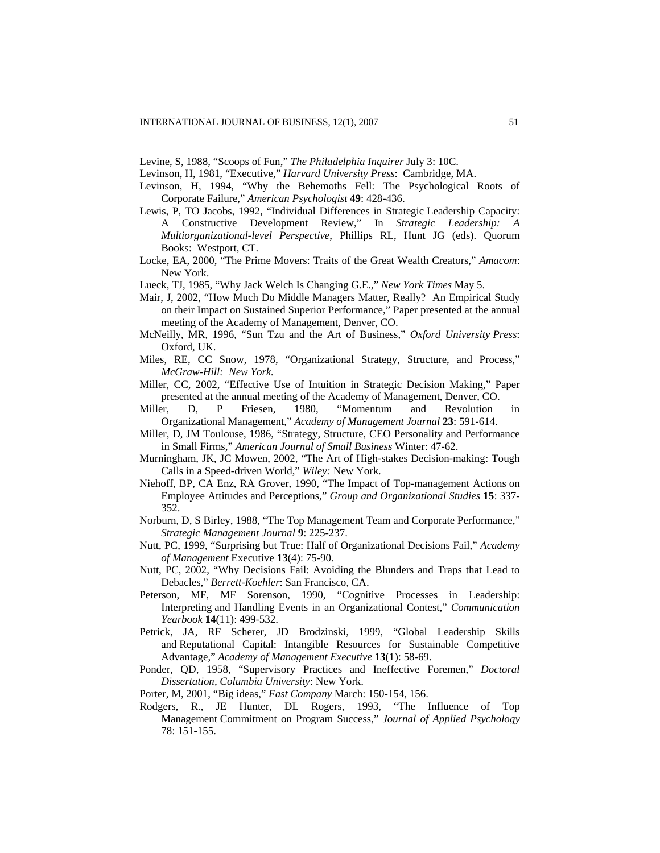Levine, S, 1988, "Scoops of Fun," *The Philadelphia Inquirer* July 3: 10C.

- Levinson, H, 1981, "Executive," *Harvard University Press*: Cambridge, MA.
- Levinson, H, 1994, "Why the Behemoths Fell: The Psychological Roots of Corporate Failure," *American Psychologist* **49**: 428-436.
- Lewis, P, TO Jacobs, 1992, "Individual Differences in Strategic Leadership Capacity: A Constructive Development Review," In *Strategic Leadership: A Multiorganizational-level Perspective*, Phillips RL, Hunt JG (eds). Quorum Books: Westport, CT.
- Locke, EA, 2000, "The Prime Movers: Traits of the Great Wealth Creators," *Amacom*: New York.
- Lueck, TJ, 1985, "Why Jack Welch Is Changing G.E.," *New York Times* May 5.
- Mair, J, 2002, "How Much Do Middle Managers Matter, Really? An Empirical Study on their Impact on Sustained Superior Performance," Paper presented at the annual meeting of the Academy of Management, Denver, CO.
- McNeilly, MR, 1996, "Sun Tzu and the Art of Business," *Oxford University Press*: Oxford, UK.
- Miles, RE, CC Snow, 1978, "Organizational Strategy, Structure, and Process," *McGraw-Hill: New York.*
- Miller, CC, 2002, "Effective Use of Intuition in Strategic Decision Making," Paper presented at the annual meeting of the Academy of Management, Denver, CO.
- Miller, D, P Friesen, 1980, "Momentum and Revolution in Organizational Management," *Academy of Management Journal* **23**: 591-614.
- Miller, D, JM Toulouse, 1986, "Strategy, Structure, CEO Personality and Performance in Small Firms," *American Journal of Small Business* Winter: 47-62.
- Murningham, JK, JC Mowen, 2002, "The Art of High-stakes Decision-making: Tough Calls in a Speed-driven World," *Wiley:* New York.
- Niehoff, BP, CA Enz, RA Grover, 1990, "The Impact of Top-management Actions on Employee Attitudes and Perceptions," *Group and Organizational Studies* **15**: 337- 352.
- Norburn, D, S Birley, 1988, "The Top Management Team and Corporate Performance," *Strategic Management Journal* **9**: 225-237.
- Nutt, PC, 1999, "Surprising but True: Half of Organizational Decisions Fail," *Academy of Management* Executive **13**(4): 75-90.
- Nutt, PC, 2002, "Why Decisions Fail: Avoiding the Blunders and Traps that Lead to Debacles," *Berrett-Koehler*: San Francisco, CA.
- Peterson, MF, MF Sorenson, 1990, "Cognitive Processes in Leadership: Interpreting and Handling Events in an Organizational Contest," *Communication Yearbook* **14**(11): 499-532.
- Petrick, JA, RF Scherer, JD Brodzinski, 1999, "Global Leadership Skills and Reputational Capital: Intangible Resources for Sustainable Competitive Advantage," *Academy of Management Executive* **13**(1): 58-69.
- Ponder, QD, 1958, "Supervisory Practices and Ineffective Foremen," *Doctoral Dissertation, Columbia University*: New York.

Porter, M, 2001, "Big ideas," *Fast Company* March: 150-154, 156.

Rodgers, R., JE Hunter, DL Rogers, 1993, "The Influence of Top Management Commitment on Program Success," *Journal of Applied Psychology* 78: 151-155.